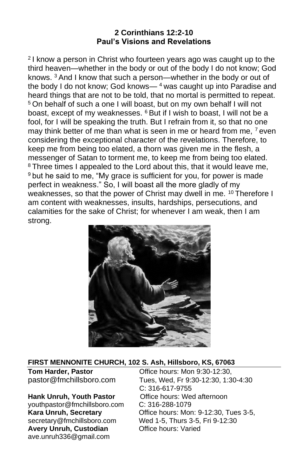#### **2 Corinthians 12:2-10 Paul's Visions and Revelations**

2 I know a person in Christ who fourteen years ago was caught up to the third heaven—whether in the body or out of the body I do not know; God knows. <sup>3</sup> And I know that such a person—whether in the body or out of the body I do not know; God knows— $4$  was caught up into Paradise and heard things that are not to be told, that no mortal is permitted to repeat. <sup>5</sup> On behalf of such a one I will boast, but on my own behalf I will not boast, except of my weaknesses. <sup>6</sup> But if I wish to boast, I will not be a fool, for I will be speaking the truth. But I refrain from it, so that no one may think better of me than what is seen in me or heard from me. <sup>7</sup> even considering the exceptional character of the revelations. Therefore, to keep me from being too elated, a thorn was given me in the flesh, a messenger of Satan to torment me, to keep me from being too elated. <sup>8</sup> Three times I appealed to the Lord about this, that it would leave me, <sup>9</sup> but he said to me, "My grace is sufficient for you, for power is made perfect in weakness." So, I will boast all the more gladly of my weaknesses, so that the power of Christ may dwell in me. <sup>10</sup> Therefore I am content with weaknesses, insults, hardships, persecutions, and calamities for the sake of Christ; for whenever I am weak, then I am strong.



#### **FIRST MENNONITE CHURCH, 102 S. Ash, Hillsboro, KS, 67063**

**Hank Unruh, Youth Pastor** [youthpastor@fmchillsboro.com](mailto:youthpastor@fmchillsboro.com) C: 316-288-1079 **Avery Unruh, Custodian** ave.unruh336@gmail.com

**Tom Harder, Pastor Conserved Constructs: Mon 9:30-12:30.** pastor@fmchillsboro.com Tues, Wed, Fr 9:30-12:30, 1:30-4:30 C: 316-617-9755<br>Office hours: Wed afternoon **Kara Unruh, Secretary** Office hours: Mon: 9-12:30, Tues 3-5, secretary@fmchillsboro.com Wed 1-5, Thurs 3-5, Fri 9-12:30<br>Avery Unruh, Custodian Office hours: Varied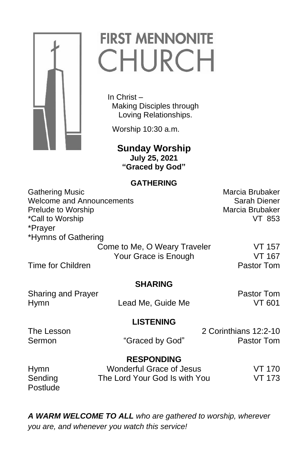

# **FIRST MENNONITE** CHURCH

 In Christ – Making Disciples through Loving Relationships.

Worship 10:30 a.m.

 **Sunday Worship July 25, 2021 "Graced by God"**

#### **GATHERING**

Gathering Music **Marcia Brubaker** Marcia Brubaker Welcome and Announcements **Sarah Diener** Sarah Diener Prelude to Worship Marcia Brubaker \*Call to Worship VT 853 \*Prayer \*Hymns of Gathering Come to Me, O Weary Traveler VT 157 Your Grace is Enough VT 167 Time for Children **Pastor Tommunical Contract Contract Contract Contract Contract Contract Contract Contract Contract Contract Contract Contract Contract Contract Contract Contract Contract Contract Contract Contract Contr** 

**SHARING**

Sharing and Prayer **Pastor Tom** 

Hymn Lead Me, Guide Me VT 601

## **LISTENING**

The Lesson 2 Corinthians 12:2-10 Sermon "Graced by God" Pastor Tom

**RESPONDING**

| <b>Hymn</b> | Wonderful Grace of Jesus      | VT 170 |
|-------------|-------------------------------|--------|
| Sending     | The Lord Your God Is with You | VT 173 |
| Postlude    |                               |        |

*A WARM WELCOME TO ALL who are gathered to worship, wherever you are, and whenever you watch this service!*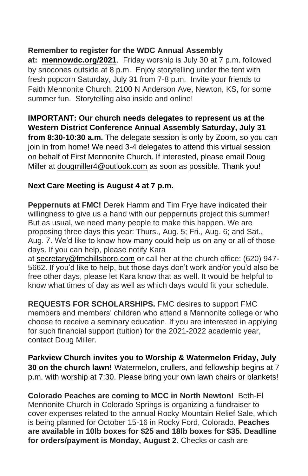### **Remember to register for the WDC Annual Assembly**

**at: [mennowdc.org/2021](http://mennowdc.org/2021)**. Friday worship is July 30 at 7 p.m. followed by snocones outside at 8 p.m. Enjoy storytelling under the tent with fresh popcorn Saturday, July 31 from 7-8 p.m. Invite your friends to Faith Mennonite Church, 2100 N Anderson Ave, Newton, KS, for some summer fun. Storytelling also inside and online!

**IMPORTANT: Our church needs delegates to represent us at the Western District Conference Annual Assembly Saturday, July 31 from 8:30-10:30 a.m.** The delegate session is only by Zoom, so you can join in from home! We need 3-4 delegates to attend this virtual session on behalf of First Mennonite Church. If interested, please email Doug Miller at dougmiller4@outlook.com as soon as possible. Thank you!

## **Next Care Meeting is August 4 at 7 p.m.**

**Peppernuts at FMC!** Derek Hamm and Tim Frye have indicated their willingness to give us a hand with our peppernuts project this summer! But as usual, we need many people to make this happen. We are proposing three days this year: Thurs., Aug. 5; Fri., Aug. 6; and Sat., Aug. 7. We'd like to know how many could help us on any or all of those days. If you can help, please notify Kara

at [secretary@fmchillsboro.com](mailto:secretary@fmchillsboro.com) or call her at the church office: (620) 947- 5662. If you'd like to help, but those days don't work and/or you'd also be free other days, please let Kara know that as well. It would be helpful to know what times of day as well as which days would fit your schedule.

**REQUESTS FOR SCHOLARSHIPS.** FMC desires to support FMC members and members' children who attend a Mennonite college or who choose to receive a seminary education. If you are interested in applying for such financial support (tuition) for the 2021-2022 academic year, contact Doug Miller.

**Parkview Church invites you to Worship & Watermelon Friday, July 30 on the church lawn!** Watermelon, crullers, and fellowship begins at 7 p.m. with worship at 7:30. Please bring your own lawn chairs or blankets!

**Colorado Peaches are coming to MCC in North Newton!** Beth-El Mennonite Church in Colorado Springs is organizing a fundraiser to cover expenses related to the annual Rocky Mountain Relief Sale, which is being planned for October 15-16 in Rocky Ford, Colorado. **Peaches are available in 10lb boxes for \$25 and 18lb boxes for \$35. Deadline for orders/payment is Monday, August 2.** Checks or cash are